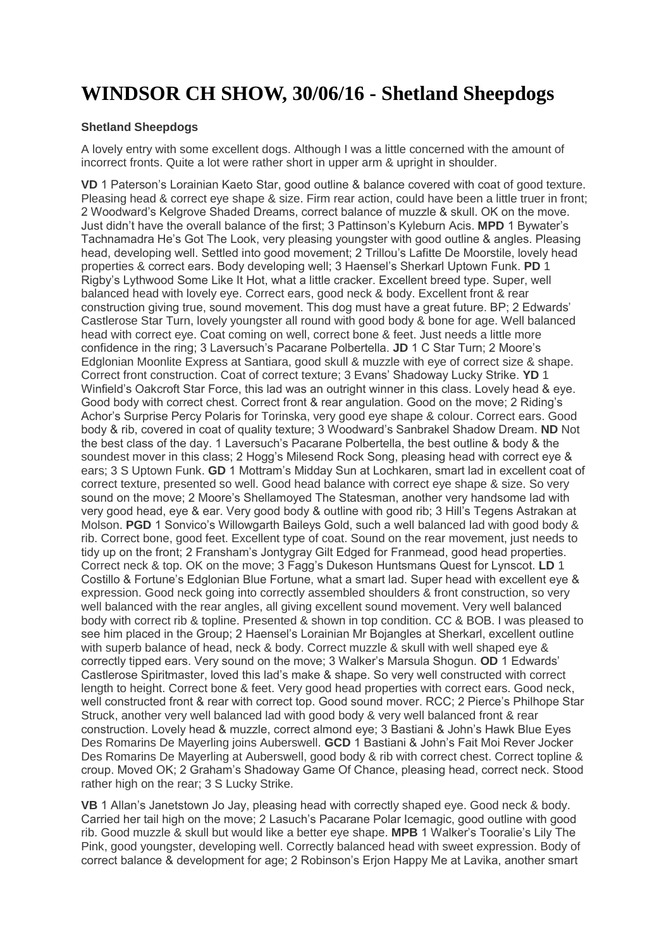## **WINDSOR CH SHOW, 30/06/16 - Shetland Sheepdogs**

## **Shetland Sheepdogs**

A lovely entry with some excellent dogs. Although I was a little concerned with the amount of incorrect fronts. Quite a lot were rather short in upper arm & upright in shoulder.

**VD** 1 Paterson's Lorainian Kaeto Star, good outline & balance covered with coat of good texture. Pleasing head & correct eye shape & size. Firm rear action, could have been a little truer in front; 2 Woodward's Kelgrove Shaded Dreams, correct balance of muzzle & skull. OK on the move. Just didn't have the overall balance of the first; 3 Pattinson's Kyleburn Acis. **MPD** 1 Bywater's Tachnamadra He's Got The Look, very pleasing youngster with good outline & angles. Pleasing head, developing well. Settled into good movement; 2 Trillou's Lafitte De Moorstile, lovely head properties & correct ears. Body developing well; 3 Haensel's Sherkarl Uptown Funk. **PD** 1 Rigby's Lythwood Some Like It Hot, what a little cracker. Excellent breed type. Super, well balanced head with lovely eye. Correct ears, good neck & body. Excellent front & rear construction giving true, sound movement. This dog must have a great future. BP; 2 Edwards' Castlerose Star Turn, lovely youngster all round with good body & bone for age. Well balanced head with correct eye. Coat coming on well, correct bone & feet. Just needs a little more confidence in the ring; 3 Laversuch's Pacarane Polbertella. **JD** 1 C Star Turn; 2 Moore's Edglonian Moonlite Express at Santiara, good skull & muzzle with eye of correct size & shape. Correct front construction. Coat of correct texture; 3 Evans' Shadoway Lucky Strike. **YD** 1 Winfield's Oakcroft Star Force, this lad was an outright winner in this class. Lovely head & eye. Good body with correct chest. Correct front & rear angulation. Good on the move; 2 Riding's Achor's Surprise Percy Polaris for Torinska, very good eye shape & colour. Correct ears. Good body & rib, covered in coat of quality texture; 3 Woodward's Sanbrakel Shadow Dream. **ND** Not the best class of the day. 1 Laversuch's Pacarane Polbertella, the best outline & body & the soundest mover in this class; 2 Hogg's Milesend Rock Song, pleasing head with correct eye & ears; 3 S Uptown Funk. **GD** 1 Mottram's Midday Sun at Lochkaren, smart lad in excellent coat of correct texture, presented so well. Good head balance with correct eye shape & size. So very sound on the move; 2 Moore's Shellamoyed The Statesman, another very handsome lad with very good head, eye & ear. Very good body & outline with good rib; 3 Hill's Tegens Astrakan at Molson. **PGD** 1 Sonvico's Willowgarth Baileys Gold, such a well balanced lad with good body & rib. Correct bone, good feet. Excellent type of coat. Sound on the rear movement, just needs to tidy up on the front; 2 Fransham's Jontygray Gilt Edged for Franmead, good head properties. Correct neck & top. OK on the move; 3 Fagg's Dukeson Huntsmans Quest for Lynscot. **LD** 1 Costillo & Fortune's Edglonian Blue Fortune, what a smart lad. Super head with excellent eye & expression. Good neck going into correctly assembled shoulders & front construction, so very well balanced with the rear angles, all giving excellent sound movement. Very well balanced body with correct rib & topline. Presented & shown in top condition. CC & BOB. I was pleased to see him placed in the Group; 2 Haensel's Lorainian Mr Bojangles at Sherkarl, excellent outline with superb balance of head, neck & body. Correct muzzle & skull with well shaped eye & correctly tipped ears. Very sound on the move; 3 Walker's Marsula Shogun. **OD** 1 Edwards' Castlerose Spiritmaster, loved this lad's make & shape. So very well constructed with correct length to height. Correct bone & feet. Very good head properties with correct ears. Good neck, well constructed front & rear with correct top. Good sound mover. RCC; 2 Pierce's Philhope Star Struck, another very well balanced lad with good body & very well balanced front & rear construction. Lovely head & muzzle, correct almond eye; 3 Bastiani & John's Hawk Blue Eyes Des Romarins De Mayerling joins Auberswell. **GCD** 1 Bastiani & John's Fait Moi Rever Jocker Des Romarins De Mayerling at Auberswell, good body & rib with correct chest. Correct topline & croup. Moved OK; 2 Graham's Shadoway Game Of Chance, pleasing head, correct neck. Stood rather high on the rear; 3 S Lucky Strike.

**VB** 1 Allan's Janetstown Jo Jay, pleasing head with correctly shaped eye. Good neck & body. Carried her tail high on the move; 2 Lasuch's Pacarane Polar Icemagic, good outline with good rib. Good muzzle & skull but would like a better eye shape. **MPB** 1 Walker's Tooralie's Lily The Pink, good youngster, developing well. Correctly balanced head with sweet expression. Body of correct balance & development for age; 2 Robinson's Erjon Happy Me at Lavika, another smart